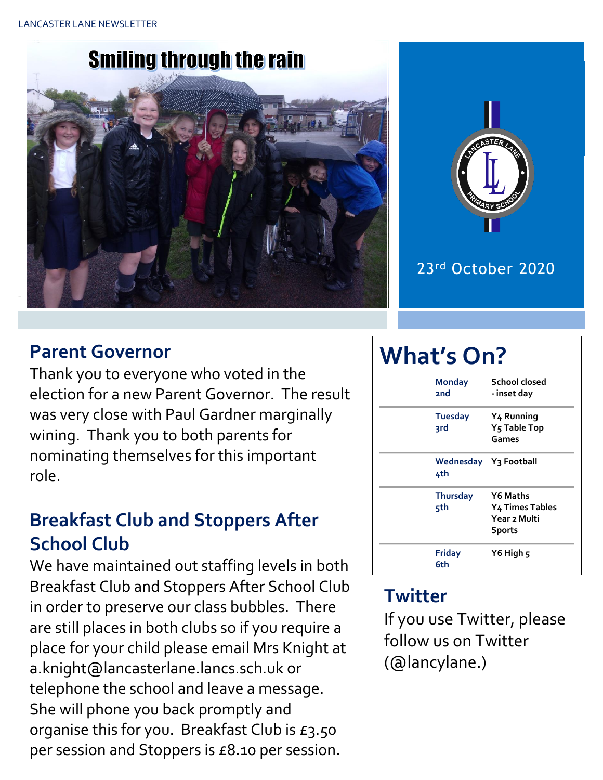# **Smiling through the rain**





#### 23rd October 2020

#### **Parent Governor**

Thank you to everyone who voted in the election for a new Parent Governor. The result was very close with Paul Gardner marginally wining. Thank you to both parents for nominating themselves for this important role.

## **Breakfast Club and Stoppers After School Club**

We have maintained out staffing levels in both Breakfast Club and Stoppers After School Club in order to preserve our class bubbles. There are still places in both clubs so if you require a place for your child please email Mrs Knight at a.knight@lancasterlane.lancs.sch.uk or telephone the school and leave a message. She will phone you back promptly and organise this for you. Breakfast Club is £3.50 per session and Stoppers is £8.10 per session.

# **What's On?**

| <b>Monday</b><br>2nd   | School closed<br>- inset day                                                    |
|------------------------|---------------------------------------------------------------------------------|
| <b>Tuesday</b><br>3rd  | Y <sub>4</sub> Running<br>Y <sub>5</sub> Table Top<br>Games                     |
| 4th                    | Wednesday Y3 Football                                                           |
| <b>Thursday</b><br>5th | <b>Y6 Maths</b><br>Y <sub>4</sub> Times Tables<br>Year 2 Multi<br><b>Sports</b> |
| Friday<br>6th          | Y6 High 5                                                                       |

#### **Twitter**

If you use Twitter, please follow us on Twitter (@lancylane.)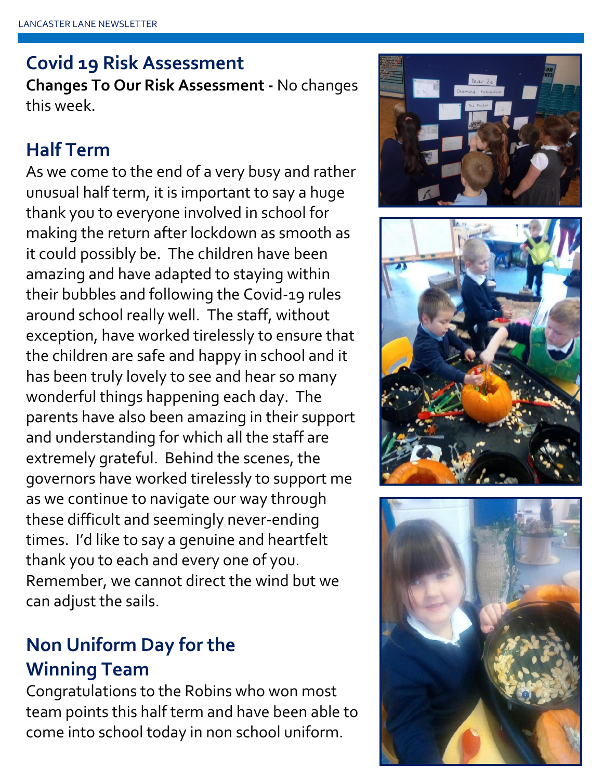#### **Covid 19 Risk Assessment**

**Changes To Our Risk Assessment -** No changes this week.

#### **Half Term**

As we come to the end of a very busy and rather unusual half term, it is important to say a huge thank you to everyone involved in school for making the return after lockdown as smooth as it could possibly be. The children have been amazing and have adapted to staying within their bubbles and following the Covid-19 rules around school really well. The staff, without exception, have worked tirelessly to ensure that the children are safe and happy in school and it has been truly lovely to see and hear so many wonderful things happening each day. The parents have also been amazing in their support and understanding for which all the staff are extremely grateful. Behind the scenes, the governors have worked tirelessly to support me as we continue to navigate our way through these difficult and seemingly never-ending times. I'd like to say a genuine and heartfelt thank you to each and every one of you. Remember, we cannot direct the wind but we can adjust the sails.

### **Non Uniform Day for the Winning Team**

Congratulations to the Robins who won most team points this half term and have been able to come into school today in non school uniform.